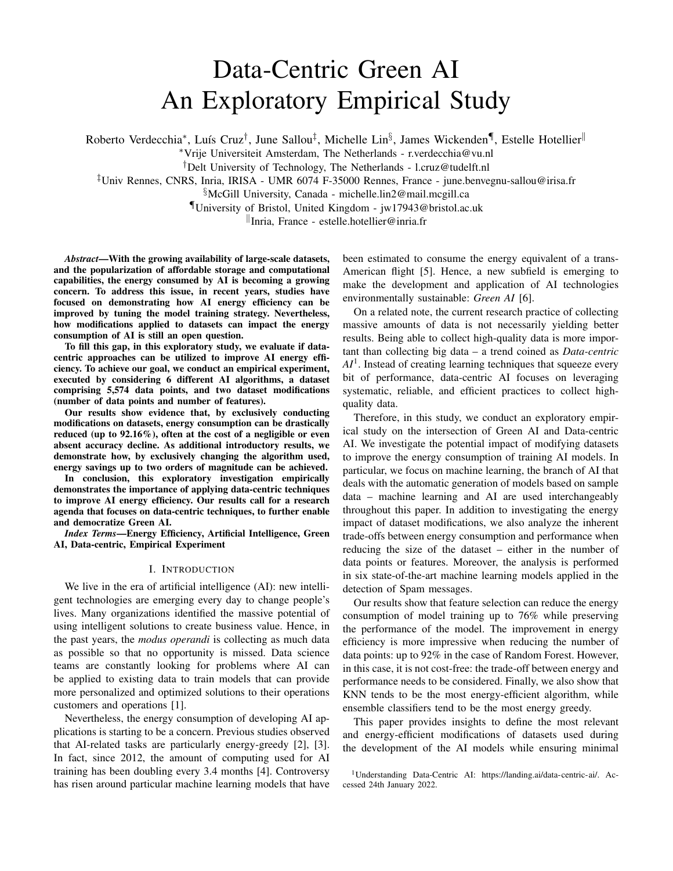# Data-Centric Green AI An Exploratory Empirical Study

Roberto Verdecchia\*, Luís Cruz<sup>†</sup>, June Sallou<sup>‡</sup>, Michelle Lin<sup>§</sup>, James Wickenden¶, Estelle Hotellier<sup>∥</sup>

<sup>∗</sup>Vrije Universiteit Amsterdam, The Netherlands - [r.verdecchia@vu.nl](mailto:r.verdecchia@vu.nl)

†Delt University of Technology, The Netherlands - [l.cruz@tudelft.nl](mailto:l.cruz@tudelft.nl)

‡Univ Rennes, CNRS, Inria, IRISA - UMR 6074 F-35000 Rennes, France - [june.benvegnu-sallou@irisa.fr](mailto:june.benvegnu-sallou@irisa.fr)

§McGill University, Canada - [michelle.lin2@mail.mcgill.ca](mailto:michelle.lin2@mail.mcgill.ca)

¶University of Bristol, United Kingdom - [jw17943@bristol.ac.uk](mailto:jw17943@bristol.ac.uk)

k Inria, France - [estelle.hotellier@inria.fr](mailto:estelle.hotellier@inria.fr)

*Abstract*—With the growing availability of large-scale datasets, and the popularization of affordable storage and computational capabilities, the energy consumed by AI is becoming a growing concern. To address this issue, in recent years, studies have focused on demonstrating how AI energy efficiency can be improved by tuning the model training strategy. Nevertheless, how modifications applied to datasets can impact the energy consumption of AI is still an open question.

To fill this gap, in this exploratory study, we evaluate if datacentric approaches can be utilized to improve AI energy efficiency. To achieve our goal, we conduct an empirical experiment, executed by considering 6 different AI algorithms, a dataset comprising 5,574 data points, and two dataset modifications (number of data points and number of features).

Our results show evidence that, by exclusively conducting modifications on datasets, energy consumption can be drastically reduced (up to 92.16%), often at the cost of a negligible or even absent accuracy decline. As additional introductory results, we demonstrate how, by exclusively changing the algorithm used, energy savings up to two orders of magnitude can be achieved.

In conclusion, this exploratory investigation empirically demonstrates the importance of applying data-centric techniques to improve AI energy efficiency. Our results call for a research agenda that focuses on data-centric techniques, to further enable and democratize Green AI.

*Index Terms*—Energy Efficiency, Artificial Intelligence, Green AI, Data-centric, Empirical Experiment

## I. INTRODUCTION

We live in the era of artificial intelligence (AI): new intelligent technologies are emerging every day to change people's lives. Many organizations identified the massive potential of using intelligent solutions to create business value. Hence, in the past years, the *modus operandi* is collecting as much data as possible so that no opportunity is missed. Data science teams are constantly looking for problems where AI can be applied to existing data to train models that can provide more personalized and optimized solutions to their operations customers and operations [\[1\]](#page-10-0).

Nevertheless, the energy consumption of developing AI applications is starting to be a concern. Previous studies observed that AI-related tasks are particularly energy-greedy [\[2\]](#page-10-1), [\[3\]](#page-10-2). In fact, since 2012, the amount of computing used for AI training has been doubling every 3.4 months [\[4\]](#page-10-3). Controversy has risen around particular machine learning models that have

been estimated to consume the energy equivalent of a trans-American flight [\[5\]](#page-10-4). Hence, a new subfield is emerging to make the development and application of AI technologies environmentally sustainable: *Green AI* [\[6\]](#page-10-5).

On a related note, the current research practice of collecting massive amounts of data is not necessarily yielding better results. Being able to collect high-quality data is more important than collecting big data – a trend coined as *Data-centric AI*[1](#page-0-0) . Instead of creating learning techniques that squeeze every bit of performance, data-centric AI focuses on leveraging systematic, reliable, and efficient practices to collect highquality data.

Therefore, in this study, we conduct an exploratory empirical study on the intersection of Green AI and Data-centric AI. We investigate the potential impact of modifying datasets to improve the energy consumption of training AI models. In particular, we focus on machine learning, the branch of AI that deals with the automatic generation of models based on sample data – machine learning and AI are used interchangeably throughout this paper. In addition to investigating the energy impact of dataset modifications, we also analyze the inherent trade-offs between energy consumption and performance when reducing the size of the dataset – either in the number of data points or features. Moreover, the analysis is performed in six state-of-the-art machine learning models applied in the detection of Spam messages.

Our results show that feature selection can reduce the energy consumption of model training up to 76% while preserving the performance of the model. The improvement in energy efficiency is more impressive when reducing the number of data points: up to 92% in the case of Random Forest. However, in this case, it is not cost-free: the trade-off between energy and performance needs to be considered. Finally, we also show that KNN tends to be the most energy-efficient algorithm, while ensemble classifiers tend to be the most energy greedy.

This paper provides insights to define the most relevant and energy-efficient modifications of datasets used during the development of the AI models while ensuring minimal

<span id="page-0-0"></span><sup>1</sup>Understanding Data-Centric AI: [https://landing.ai/data-centric-ai/.](https://landing.ai/data-centric-ai/) Accessed 24th January 2022.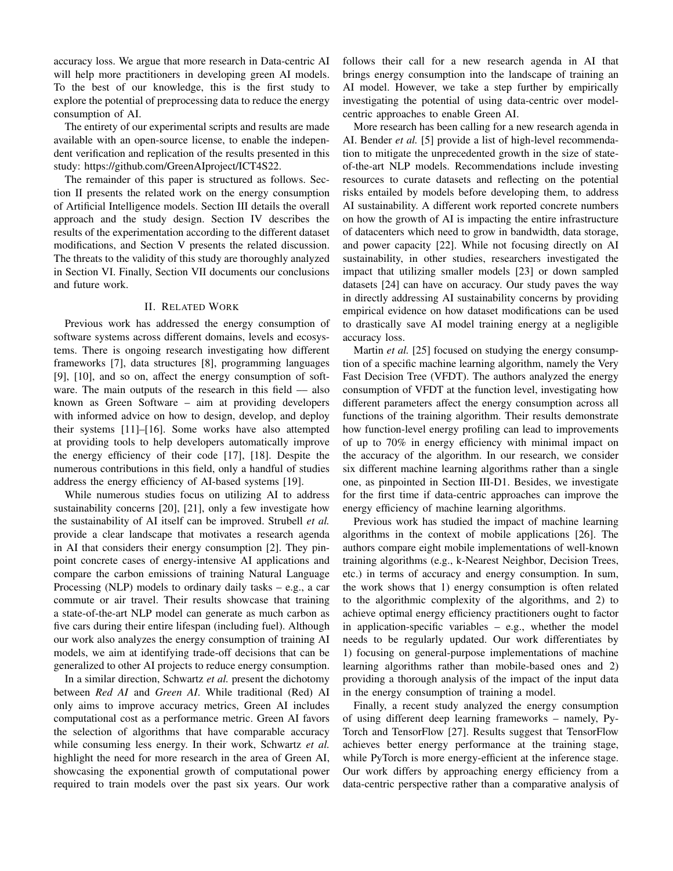accuracy loss. We argue that more research in Data-centric AI will help more practitioners in developing green AI models. To the best of our knowledge, this is the first study to explore the potential of preprocessing data to reduce the energy consumption of AI.

The entirety of our experimental scripts and results are made available with an open-source license, to enable the independent verification and replication of the results presented in this study: [https://github.com/GreenAIproject/ICT4S22.](https://github.com/GreenAIproject/ICT4S22)

The remainder of this paper is structured as follows. Section [II](#page-1-0) presents the related work on the energy consumption of Artificial Intelligence models. Section [III](#page-2-0) details the overall approach and the study design. Section [IV](#page-4-0) describes the results of the experimentation according to the different dataset modifications, and Section [V](#page-6-0) presents the related discussion. The threats to the validity of this study are thoroughly analyzed in Section [VI.](#page-8-0) Finally, Section [VII](#page-9-0) documents our conclusions and future work.

# II. RELATED WORK

<span id="page-1-0"></span>Previous work has addressed the energy consumption of software systems across different domains, levels and ecosystems. There is ongoing research investigating how different frameworks [\[7\]](#page-10-6), data structures [\[8\]](#page-10-7), programming languages [\[9\]](#page-10-8), [\[10\]](#page-10-9), and so on, affect the energy consumption of software. The main outputs of the research in this field  $-$  also known as Green Software – aim at providing developers with informed advice on how to design, develop, and deploy their systems [\[11\]](#page-10-10)–[\[16\]](#page-10-11). Some works have also attempted at providing tools to help developers automatically improve the energy efficiency of their code [\[17\]](#page-10-12), [\[18\]](#page-10-13). Despite the numerous contributions in this field, only a handful of studies address the energy efficiency of AI-based systems [\[19\]](#page-10-14).

While numerous studies focus on utilizing AI to address sustainability concerns [\[20\]](#page-10-15), [\[21\]](#page-10-16), only a few investigate how the sustainability of AI itself can be improved. Strubell *et al.* provide a clear landscape that motivates a research agenda in AI that considers their energy consumption [\[2\]](#page-10-1). They pinpoint concrete cases of energy-intensive AI applications and compare the carbon emissions of training Natural Language Processing (NLP) models to ordinary daily tasks  $-$  e.g., a car commute or air travel. Their results showcase that training a state-of-the-art NLP model can generate as much carbon as five cars during their entire lifespan (including fuel). Although our work also analyzes the energy consumption of training AI models, we aim at identifying trade-off decisions that can be generalized to other AI projects to reduce energy consumption.

In a similar direction, Schwartz *et al.* present the dichotomy between *Red AI* and *Green AI*. While traditional (Red) AI only aims to improve accuracy metrics, Green AI includes computational cost as a performance metric. Green AI favors the selection of algorithms that have comparable accuracy while consuming less energy. In their work, Schwartz *et al.* highlight the need for more research in the area of Green AI, showcasing the exponential growth of computational power required to train models over the past six years. Our work follows their call for a new research agenda in AI that brings energy consumption into the landscape of training an AI model. However, we take a step further by empirically investigating the potential of using data-centric over modelcentric approaches to enable Green AI.

More research has been calling for a new research agenda in AI. Bender *et al.* [\[5\]](#page-10-4) provide a list of high-level recommendation to mitigate the unprecedented growth in the size of stateof-the-art NLP models. Recommendations include investing resources to curate datasets and reflecting on the potential risks entailed by models before developing them, to address AI sustainability. A different work reported concrete numbers on how the growth of AI is impacting the entire infrastructure of datacenters which need to grow in bandwidth, data storage, and power capacity [\[22\]](#page-10-17). While not focusing directly on AI sustainability, in other studies, researchers investigated the impact that utilizing smaller models [\[23\]](#page-10-18) or down sampled datasets [\[24\]](#page-10-19) can have on accuracy. Our study paves the way in directly addressing AI sustainability concerns by providing empirical evidence on how dataset modifications can be used to drastically save AI model training energy at a negligible accuracy loss.

Martin *et al.* [\[25\]](#page-10-20) focused on studying the energy consumption of a specific machine learning algorithm, namely the Very Fast Decision Tree (VFDT). The authors analyzed the energy consumption of VFDT at the function level, investigating how different parameters affect the energy consumption across all functions of the training algorithm. Their results demonstrate how function-level energy profiling can lead to improvements of up to 70% in energy efficiency with minimal impact on the accuracy of the algorithm. In our research, we consider six different machine learning algorithms rather than a single one, as pinpointed in Section [III-D1.](#page-2-1) Besides, we investigate for the first time if data-centric approaches can improve the energy efficiency of machine learning algorithms.

Previous work has studied the impact of machine learning algorithms in the context of mobile applications [\[26\]](#page-10-21). The authors compare eight mobile implementations of well-known training algorithms (e.g., k-Nearest Neighbor, Decision Trees, etc.) in terms of accuracy and energy consumption. In sum, the work shows that 1) energy consumption is often related to the algorithmic complexity of the algorithms, and 2) to achieve optimal energy efficiency practitioners ought to factor in application-specific variables  $-$  e.g., whether the model needs to be regularly updated. Our work differentiates by 1) focusing on general-purpose implementations of machine learning algorithms rather than mobile-based ones and 2) providing a thorough analysis of the impact of the input data in the energy consumption of training a model.

Finally, a recent study analyzed the energy consumption of using different deep learning frameworks – namely, Py-Torch and TensorFlow [\[27\]](#page-10-22). Results suggest that TensorFlow achieves better energy performance at the training stage, while PyTorch is more energy-efficient at the inference stage. Our work differs by approaching energy efficiency from a data-centric perspective rather than a comparative analysis of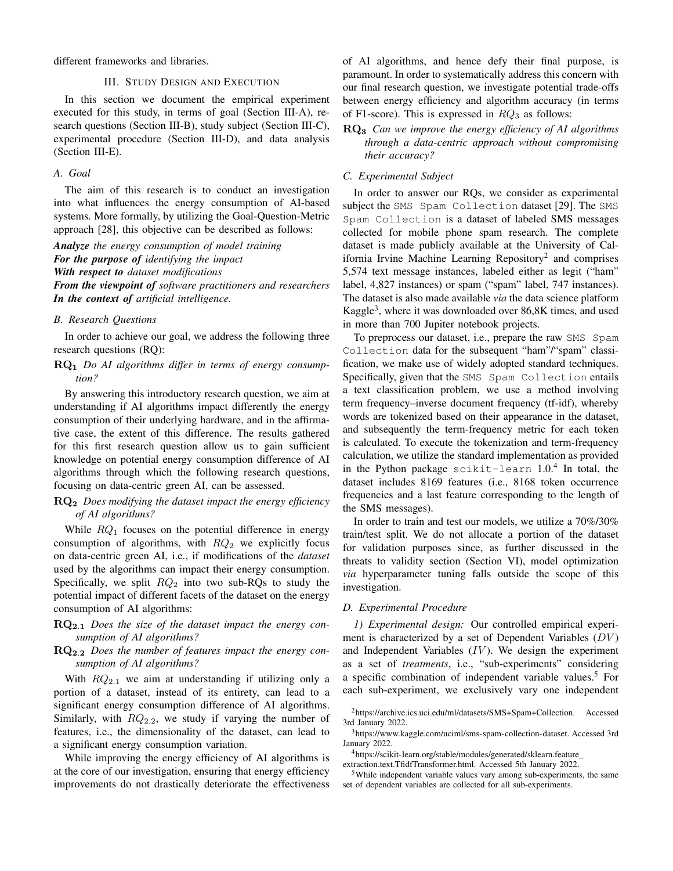<span id="page-2-0"></span>different frameworks and libraries.

## III. STUDY DESIGN AND EXECUTION

In this section we document the empirical experiment executed for this study, in terms of goal (Section [III-A\)](#page-2-2), research questions (Section [III-B\)](#page-2-3), study subject (Section [III-C\)](#page-2-4), experimental procedure (Section [III-D\)](#page-2-5), and data analysis (Section [III-E\)](#page-4-1).

#### <span id="page-2-2"></span>*A. Goal*

The aim of this research is to conduct an investigation into what influences the energy consumption of AI-based systems. More formally, by utilizing the Goal-Question-Metric approach [\[28\]](#page-10-23), this objective can be described as follows:

*Analyze the energy consumption of model training For the purpose of identifying the impact With respect to dataset modifications From the viewpoint of software practitioners and researchers In the context of artificial intelligence.*

## <span id="page-2-3"></span>*B. Research Questions*

In order to achieve our goal, we address the following three research questions (RQ):

## RQ<sup>1</sup> *Do AI algorithms differ in terms of energy consumption?*

By answering this introductory research question, we aim at understanding if AI algorithms impact differently the energy consumption of their underlying hardware, and in the affirmative case, the extent of this difference. The results gathered for this first research question allow us to gain sufficient knowledge on potential energy consumption difference of AI algorithms through which the following research questions, focusing on data-centric green AI, can be assessed.

# RQ<sup>2</sup> *Does modifying the dataset impact the energy efficiency of AI algorithms?*

While  $RQ_1$  focuses on the potential difference in energy consumption of algorithms, with  $RQ_2$  we explicitly focus on data-centric green AI, i.e., if modifications of the *dataset* used by the algorithms can impact their energy consumption. Specifically, we split  $RQ_2$  into two sub-RQs to study the potential impact of different facets of the dataset on the energy consumption of AI algorithms:

# RQ2.<sup>1</sup> *Does the size of the dataset impact the energy consumption of AI algorithms?*

## RQ2.<sup>2</sup> *Does the number of features impact the energy consumption of AI algorithms?*

With  $RQ_{2,1}$  we aim at understanding if utilizing only a portion of a dataset, instead of its entirety, can lead to a significant energy consumption difference of AI algorithms. Similarly, with  $RQ_{2,2}$ , we study if varying the number of features, i.e., the dimensionality of the dataset, can lead to a significant energy consumption variation.

While improving the energy efficiency of AI algorithms is at the core of our investigation, ensuring that energy efficiency improvements do not drastically deteriorate the effectiveness

of AI algorithms, and hence defy their final purpose, is paramount. In order to systematically address this concern with our final research question, we investigate potential trade-offs between energy efficiency and algorithm accuracy (in terms of F1-score). This is expressed in  $RQ_3$  as follows:

RQ<sup>3</sup> *Can we improve the energy efficiency of AI algorithms through a data-centric approach without compromising their accuracy?*

## <span id="page-2-4"></span>*C. Experimental Subject*

In order to answer our RQs, we consider as experimental subject the SMS Spam Collection dataset [\[29\]](#page-10-24). The SMS Spam Collection is a dataset of labeled SMS messages collected for mobile phone spam research. The complete dataset is made publicly available at the University of Cal-ifornia Irvine Machine Learning Repository<sup>[2](#page-2-6)</sup> and comprises 5,574 text message instances, labeled either as legit ("ham" label, 4,827 instances) or spam ("spam" label, 747 instances). The dataset is also made available *via* the data science platform Kaggle<sup>[3](#page-2-7)</sup>, where it was downloaded over 86,8K times, and used in more than 700 Jupiter notebook projects.

To preprocess our dataset, i.e., prepare the raw SMS Spam Collection data for the subsequent "ham"/"spam" classification, we make use of widely adopted standard techniques. Specifically, given that the SMS Spam Collection entails a text classification problem, we use a method involving term frequency–inverse document frequency (tf-idf), whereby words are tokenized based on their appearance in the dataset, and subsequently the term-frequency metric for each token is calculated. To execute the tokenization and term-frequency calculation, we utilize the standard implementation as provided in the Python package  $scikit-learn$  1.0.<sup>[4](#page-2-8)</sup> In total, the dataset includes 8169 features (i.e., 8168 token occurrence frequencies and a last feature corresponding to the length of the SMS messages).

In order to train and test our models, we utilize a 70%/30% train/test split. We do not allocate a portion of the dataset for validation purposes since, as further discussed in the threats to validity section (Section [VI\)](#page-8-0), model optimization *via* hyperparameter tuning falls outside the scope of this investigation.

#### <span id="page-2-5"></span>*D. Experimental Procedure*

<span id="page-2-1"></span>*1) Experimental design:* Our controlled empirical experiment is characterized by a set of Dependent Variables  $(DV)$ and Independent Variables  $(IV)$ . We design the experiment as a set of *treatments*, i.e., "sub-experiments" considering a specific combination of independent variable values.[5](#page-2-9) For each sub-experiment, we exclusively vary one independent

<span id="page-2-6"></span><sup>2</sup>[https://archive.ics.uci.edu/ml/datasets/SMS+Spam+Collection.](https://archive.ics.uci.edu/ml/datasets/SMS+Spam+Collection) Accessed 3rd January 2022.

<span id="page-2-7"></span><sup>3</sup>[https://www.kaggle.com/uciml/sms-spam-collection-dataset.](https://www.kaggle.com/uciml/sms-spam-collection-dataset) Accessed 3rd January 2022.

<span id="page-2-8"></span><sup>4</sup>[https://scikit-learn.org/stable/modules/generated/sklearn.feature](https://scikit-learn.org/stable/modules/generated/sklearn.feature_extraction.text.TfidfTransformer.html)

[extraction.text.TfidfTransformer.html.](https://scikit-learn.org/stable/modules/generated/sklearn.feature_extraction.text.TfidfTransformer.html) Accessed 5th January 2022.

<span id="page-2-9"></span><sup>5</sup>While independent variable values vary among sub-experiments, the same set of dependent variables are collected for all sub-experiments.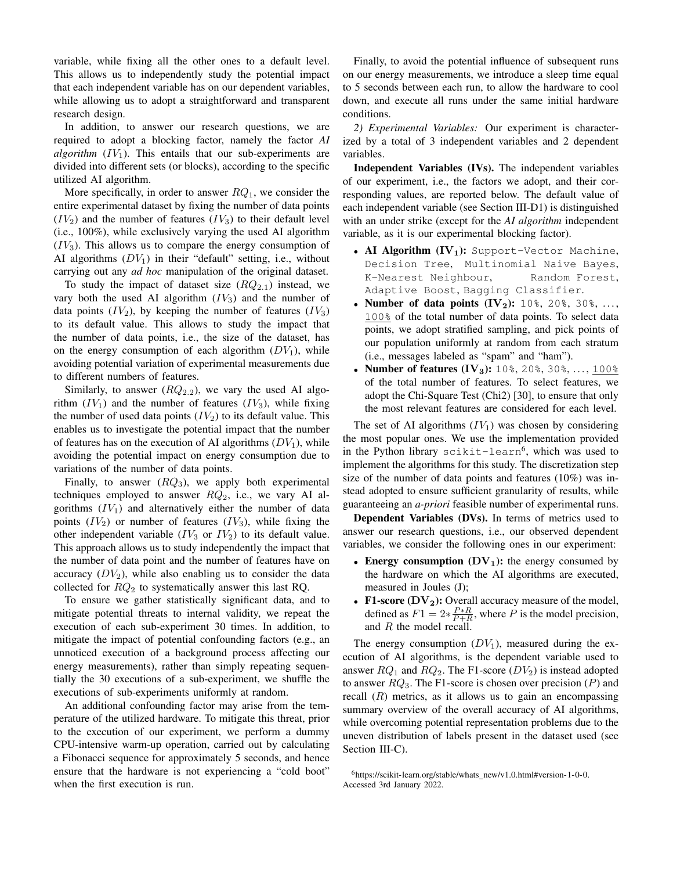variable, while fixing all the other ones to a default level. This allows us to independently study the potential impact that each independent variable has on our dependent variables, while allowing us to adopt a straightforward and transparent research design.

In addition, to answer our research questions, we are required to adopt a blocking factor, namely the factor *AI algorithm*  $(IV_1)$ . This entails that our sub-experiments are divided into different sets (or blocks), according to the specific utilized AI algorithm.

More specifically, in order to answer  $RQ_1$ , we consider the entire experimental dataset by fixing the number of data points  $(IV<sub>2</sub>)$  and the number of features  $(IV<sub>3</sub>)$  to their default level (i.e., 100%), while exclusively varying the used AI algorithm  $(IV<sub>3</sub>)$ . This allows us to compare the energy consumption of AI algorithms  $(DV_1)$  in their "default" setting, i.e., without carrying out any *ad hoc* manipulation of the original dataset.

To study the impact of dataset size  $(RQ_{2.1})$  instead, we vary both the used AI algorithm  $(IV_3)$  and the number of data points  $(IV_2)$ , by keeping the number of features  $(IV_3)$ to its default value. This allows to study the impact that the number of data points, i.e., the size of the dataset, has on the energy consumption of each algorithm  $(DV_1)$ , while avoiding potential variation of experimental measurements due to different numbers of features.

Similarly, to answer  $(RQ_{2,2})$ , we vary the used AI algorithm  $(IV_1)$  and the number of features  $(IV_3)$ , while fixing the number of used data points  $(IV<sub>2</sub>)$  to its default value. This enables us to investigate the potential impact that the number of features has on the execution of AI algorithms  $(DV_1)$ , while avoiding the potential impact on energy consumption due to variations of the number of data points.

Finally, to answer  $(RQ_3)$ , we apply both experimental techniques employed to answer  $RQ_2$ , i.e., we vary AI algorithms  $(IV<sub>1</sub>)$  and alternatively either the number of data points  $(IV_2)$  or number of features  $(IV_3)$ , while fixing the other independent variable  $(IV_3 \text{ or } IV_2)$  to its default value. This approach allows us to study independently the impact that the number of data point and the number of features have on accuracy  $(DV_2)$ , while also enabling us to consider the data collected for  $RQ_2$  to systematically answer this last RQ.

To ensure we gather statistically significant data, and to mitigate potential threats to internal validity, we repeat the execution of each sub-experiment 30 times. In addition, to mitigate the impact of potential confounding factors (e.g., an unnoticed execution of a background process affecting our energy measurements), rather than simply repeating sequentially the 30 executions of a sub-experiment, we shuffle the executions of sub-experiments uniformly at random.

An additional confounding factor may arise from the temperature of the utilized hardware. To mitigate this threat, prior to the execution of our experiment, we perform a dummy CPU-intensive warm-up operation, carried out by calculating a Fibonacci sequence for approximately 5 seconds, and hence ensure that the hardware is not experiencing a "cold boot" when the first execution is run.

Finally, to avoid the potential influence of subsequent runs on our energy measurements, we introduce a sleep time equal to 5 seconds between each run, to allow the hardware to cool down, and execute all runs under the same initial hardware conditions.

<span id="page-3-1"></span>*2) Experimental Variables:* Our experiment is characterized by a total of 3 independent variables and 2 dependent variables.

Independent Variables (IVs). The independent variables of our experiment, i.e., the factors we adopt, and their corresponding values, are reported below. The default value of each independent variable (see Section [III-D1\)](#page-2-1) is distinguished with an under strike (except for the *AI algorithm* independent variable, as it is our experimental blocking factor).

- AI Algorithm  $(IV<sub>1</sub>)$ : Support-Vector Machine, Decision Tree, Multinomial Naive Bayes, K-Nearest Neighbour, Random Forest, Adaptive Boost, Bagging Classifier.
- Number of data points  $(IV_2)$ : 10%, 20%, 30%, ..., 100% of the total number of data points. To select data points, we adopt stratified sampling, and pick points of our population uniformly at random from each stratum (i.e., messages labeled as "spam" and "ham").
- Number of features  $(IV_3)$ : 10%, 20%, 30%, ..., 100% of the total number of features. To select features, we adopt the Chi-Square Test (Chi2) [\[30\]](#page-10-25), to ensure that only the most relevant features are considered for each level.

The set of AI algorithms  $(IV<sub>1</sub>)$  was chosen by considering the most popular ones. We use the implementation provided in the Python library  $\texttt{scikit-learn}^6,$  $\texttt{scikit-learn}^6,$  $\texttt{scikit-learn}^6,$  which was used to implement the algorithms for this study. The discretization step size of the number of data points and features (10%) was instead adopted to ensure sufficient granularity of results, while guaranteeing an *a-priori* feasible number of experimental runs.

Dependent Variables (DVs). In terms of metrics used to answer our research questions, i.e., our observed dependent variables, we consider the following ones in our experiment:

- Energy consumption  $(DV_1)$ : the energy consumed by the hardware on which the AI algorithms are executed, measured in Joules (J);
- F1-score  $(DV_2)$ : Overall accuracy measure of the model, defined as  $F1 = 2 * \frac{P * R}{P + R}$ , where P is the model precision, and R the model recall.

The energy consumption  $(DV_1)$ , measured during the execution of AI algorithms, is the dependent variable used to answer  $RQ_1$  and  $RQ_2$ . The F1-score ( $DV_2$ ) is instead adopted to answer  $RQ_3$ . The F1-score is chosen over precision (P) and recall  $(R)$  metrics, as it allows us to gain an encompassing summary overview of the overall accuracy of AI algorithms, while overcoming potential representation problems due to the uneven distribution of labels present in the dataset used (see Section [III-C\)](#page-2-4).

<span id="page-3-0"></span><sup>6</sup>[https://scikit-learn.org/stable/whats](https://scikit-learn.org/stable/whats_new/v1.0.html#version-1-0-0) new/v1.0.html#version-1-0-0. Accessed 3rd January 2022.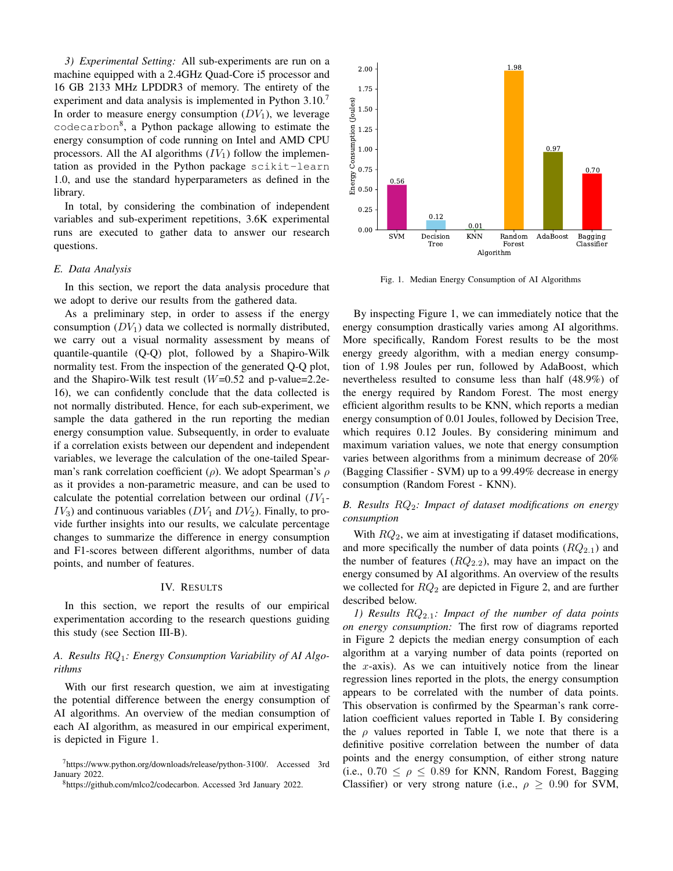*3) Experimental Setting:* All sub-experiments are run on a machine equipped with a 2.4GHz Quad-Core i5 processor and 16 GB 2133 MHz LPDDR3 of memory. The entirety of the experiment and data analysis is implemented in Python  $3.10$ . In order to measure energy consumption  $(DV_1)$ , we leverage codecarbon<sup>[8](#page-4-3)</sup>, a Python package allowing to estimate the energy consumption of code running on Intel and AMD CPU processors. All the AI algorithms  $(IV_1)$  follow the implementation as provided in the Python package scikit-learn 1.0, and use the standard hyperparameters as defined in the library.

In total, by considering the combination of independent variables and sub-experiment repetitions, 3.6K experimental runs are executed to gather data to answer our research questions.

#### <span id="page-4-1"></span>*E. Data Analysis*

In this section, we report the data analysis procedure that we adopt to derive our results from the gathered data.

As a preliminary step, in order to assess if the energy consumption  $(DV_1)$  data we collected is normally distributed, we carry out a visual normality assessment by means of quantile-quantile (Q-Q) plot, followed by a Shapiro-Wilk normality test. From the inspection of the generated Q-Q plot, and the Shapiro-Wilk test result  $(W=0.52$  and p-value=2.2e-16), we can confidently conclude that the data collected is not normally distributed. Hence, for each sub-experiment, we sample the data gathered in the run reporting the median energy consumption value. Subsequently, in order to evaluate if a correlation exists between our dependent and independent variables, we leverage the calculation of the one-tailed Spearman's rank correlation coefficient ( $\rho$ ). We adopt Spearman's  $\rho$ as it provides a non-parametric measure, and can be used to calculate the potential correlation between our ordinal  $(IV_1 IV_3$ ) and continuous variables ( $DV_1$  and  $DV_2$ ). Finally, to provide further insights into our results, we calculate percentage changes to summarize the difference in energy consumption and F1-scores between different algorithms, number of data points, and number of features.

## IV. RESULTS

<span id="page-4-0"></span>In this section, we report the results of our empirical experimentation according to the research questions guiding this study (see Section [III-B\)](#page-2-3).

# *A. Results* RQ1*: Energy Consumption Variability of AI Algorithms*

With our first research question, we aim at investigating the potential difference between the energy consumption of AI algorithms. An overview of the median consumption of each AI algorithm, as measured in our empirical experiment, is depicted in Figure [1.](#page-4-4)



<span id="page-4-4"></span>Fig. 1. Median Energy Consumption of AI Algorithms

By inspecting Figure [1,](#page-4-4) we can immediately notice that the energy consumption drastically varies among AI algorithms. More specifically, Random Forest results to be the most energy greedy algorithm, with a median energy consumption of 1.98 Joules per run, followed by AdaBoost, which nevertheless resulted to consume less than half (48.9%) of the energy required by Random Forest. The most energy efficient algorithm results to be KNN, which reports a median energy consumption of 0.01 Joules, followed by Decision Tree, which requires 0.12 Joules. By considering minimum and maximum variation values, we note that energy consumption varies between algorithms from a minimum decrease of 20% (Bagging Classifier - SVM) up to a 99.49% decrease in energy consumption (Random Forest - KNN).

# *B. Results* RQ2*: Impact of dataset modifications on energy consumption*

With  $RQ_2$ , we aim at investigating if dataset modifications, and more specifically the number of data points  $(RQ_{2,1})$  and the number of features  $(RQ_{2.2})$ , may have an impact on the energy consumed by AI algorithms. An overview of the results we collected for  $RQ_2$  are depicted in Figure [2,](#page-5-0) and are further described below.

<span id="page-4-5"></span>*1) Results* RQ2.1*: Impact of the number of data points on energy consumption:* The first row of diagrams reported in Figure [2](#page-5-0) depicts the median energy consumption of each algorithm at a varying number of data points (reported on the  $x$ -axis). As we can intuitively notice from the linear regression lines reported in the plots, the energy consumption appears to be correlated with the number of data points. This observation is confirmed by the Spearman's rank correlation coefficient values reported in Table [I.](#page-5-1) By considering the  $\rho$  values reported in Table [I,](#page-5-1) we note that there is a definitive positive correlation between the number of data points and the energy consumption, of either strong nature (i.e.,  $0.70 \le \rho \le 0.89$  for KNN, Random Forest, Bagging Classifier) or very strong nature (i.e.,  $\rho \geq 0.90$  for SVM,

<span id="page-4-2"></span><sup>7</sup>[https://www.python.org/downloads/release/python-3100/.](https://www.python.org/downloads/release/python-3100/) Accessed 3rd January 2022.

<span id="page-4-3"></span><sup>8</sup>[https://github.com/mlco2/codecarbon.](https://github.com/mlco2/codecarbon) Accessed 3rd January 2022.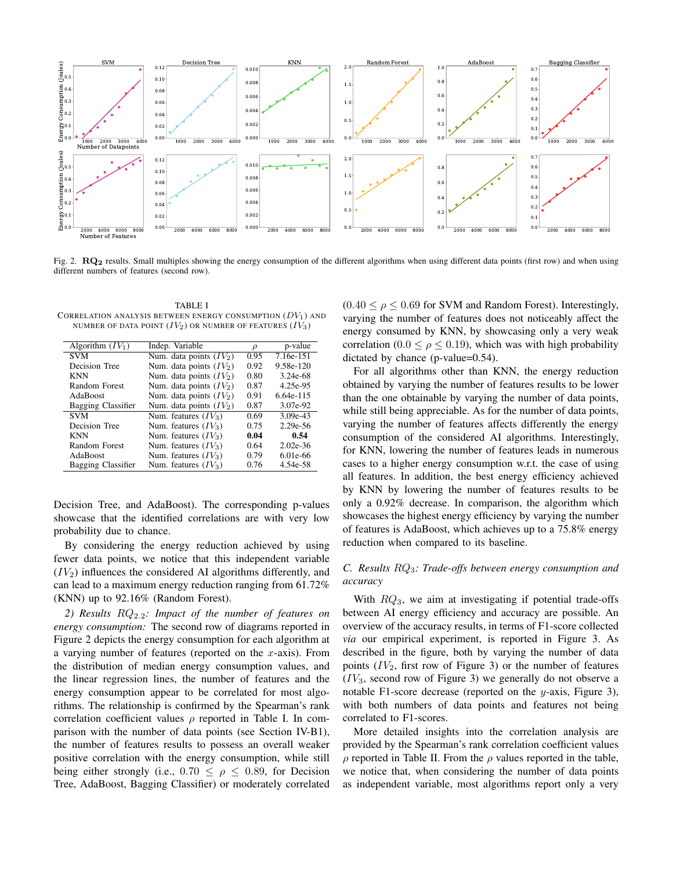

<span id="page-5-0"></span>Fig. 2. RQ<sub>2</sub> results. Small multiples showing the energy consumption of the different algorithms when using different data points (first row) and when using different numbers of features (second row).

<span id="page-5-1"></span>TABLE I CORRELATION ANALYSIS BETWEEN ENERGY CONSUMPTION  $(DV_1)$  and NUMBER OF DATA POINT  $(IV_2)$  OR NUMBER OF FEATURES  $(IV_3)$ 

| Algorithm $(IV_1)$ | Indep. Variable           | D    | p-value      |
|--------------------|---------------------------|------|--------------|
| <b>SVM</b>         | Num. data points $(IV_2)$ | 0.95 | 7.16e-151    |
| Decision Tree      | Num. data points $(IV_2)$ | 0.92 | 9.58e-120    |
| <b>KNN</b>         | Num. data points $(IV_2)$ | 0.80 | 3.24e-68     |
| Random Forest      | Num. data points $(IV_2)$ | 0.87 | 4.25e-95     |
| AdaBoost           | Num. data points $(IV_2)$ | 0.91 | 6.64e-115    |
| Bagging Classifier | Num. data points $(IV_2)$ | 0.87 | 3.07e-92     |
| <b>SVM</b>         | Num. features $(IV_3)$    | 0.69 | $3.09e-43$   |
| Decision Tree      | Num. features $(IV_3)$    | 0.75 | $2.29e - 56$ |
| <b>KNN</b>         | Num. features $(IV_3)$    | 0.04 | 0.54         |
| Random Forest      | Num. features $(IV_3)$    | 0.64 | $2.02e-36$   |
| AdaBoost           | Num. features $(IV_3)$    | 0.79 | 6.01e-66     |
| Bagging Classifier | Num. features $(IV_3)$    | 0.76 | 4.54e-58     |

Decision Tree, and AdaBoost). The corresponding p-values showcase that the identified correlations are with very low probability due to chance.

By considering the energy reduction achieved by using fewer data points, we notice that this independent variable  $(IV<sub>2</sub>)$  influences the considered AI algorithms differently, and can lead to a maximum energy reduction ranging from 61.72% (KNN) up to 92.16% (Random Forest).

*2) Results* RQ2.2*: Impact of the number of features on energy consumption:* The second row of diagrams reported in Figure [2](#page-5-0) depicts the energy consumption for each algorithm at a varying number of features (reported on the  $x$ -axis). From the distribution of median energy consumption values, and the linear regression lines, the number of features and the energy consumption appear to be correlated for most algorithms. The relationship is confirmed by the Spearman's rank correlation coefficient values  $\rho$  reported in Table [I.](#page-5-1) In comparison with the number of data points (see Section [IV-B1\)](#page-4-5), the number of features results to possess an overall weaker positive correlation with the energy consumption, while still being either strongly (i.e.,  $0.70 \le \rho \le 0.89$ , for Decision Tree, AdaBoost, Bagging Classifier) or moderately correlated

 $(0.40 \le \rho \le 0.69$  for SVM and Random Forest). Interestingly, varying the number of features does not noticeably affect the energy consumed by KNN, by showcasing only a very weak correlation (0.0  $\leq \rho \leq$  0.19), which was with high probability dictated by chance (p-value=0.54).

For all algorithms other than KNN, the energy reduction obtained by varying the number of features results to be lower than the one obtainable by varying the number of data points, while still being appreciable. As for the number of data points, varying the number of features affects differently the energy consumption of the considered AI algorithms. Interestingly, for KNN, lowering the number of features leads in numerous cases to a higher energy consumption w.r.t. the case of using all features. In addition, the best energy efficiency achieved by KNN by lowering the number of features results to be only a 0.92% decrease. In comparison, the algorithm which showcases the highest energy efficiency by varying the number of features is AdaBoost, which achieves up to a 75.8% energy reduction when compared to its baseline.

# *C. Results* RQ3*: Trade-offs between energy consumption and accuracy*

With  $RQ_3$ , we aim at investigating if potential trade-offs between AI energy efficiency and accuracy are possible. An overview of the accuracy results, in terms of F1-score collected *via* our empirical experiment, is reported in Figure [3.](#page-7-0) As described in the figure, both by varying the number of data points  $(IV_2,$  first row of Figure [3\)](#page-7-0) or the number of features  $(IV_3,$  second row of Figure [3\)](#page-7-0) we generally do not observe a notable F1-score decrease (reported on the y-axis, Figure [3\)](#page-7-0), with both numbers of data points and features not being correlated to F1-scores.

More detailed insights into the correlation analysis are provided by the Spearman's rank correlation coefficient values  $\rho$  reported in Table [II.](#page-6-1) From the  $\rho$  values reported in the table, we notice that, when considering the number of data points as independent variable, most algorithms report only a very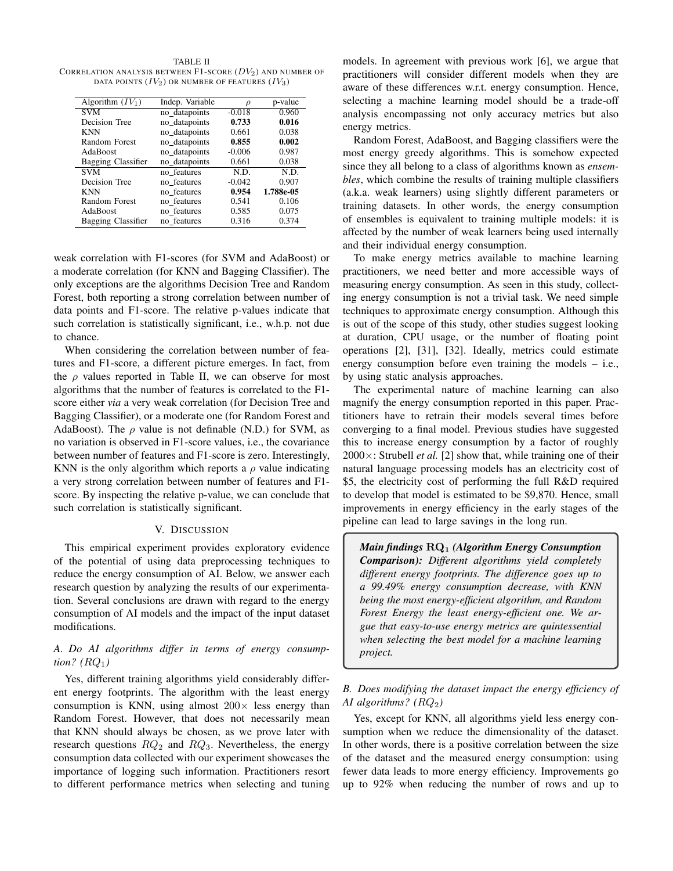<span id="page-6-1"></span>TABLE II CORRELATION ANALYSIS BETWEEN F1-SCORE  $(DV_2)$  and number of DATA POINTS  $(IV_2)$  OR NUMBER OF FEATURES  $(IV_3)$ 

| Algorithm $(IV_1)$ | Indep. Variable | D        | p-value   |
|--------------------|-----------------|----------|-----------|
| SVM                | no datapoints   | $-0.018$ | 0.960     |
| Decision Tree      | no datapoints   | 0.733    | 0.016     |
| <b>KNN</b>         | no_datapoints   | 0.661    | 0.038     |
| Random Forest      | no_datapoints   | 0.855    | 0.002     |
| AdaBoost           | no datapoints   | $-0.006$ | 0.987     |
| Bagging Classifier | no_datapoints   | 0.661    | 0.038     |
| <b>SVM</b>         | no features     | N.D.     | N.D.      |
| Decision Tree      | no features     | $-0.042$ | 0.907     |
| <b>KNN</b>         | no features     | 0.954    | 1.788e-05 |
| Random Forest      | no features     | 0.541    | 0.106     |
| AdaBoost           | no features     | 0.585    | 0.075     |
| Bagging Classifier | no features     | 0.316    | 0.374     |

weak correlation with F1-scores (for SVM and AdaBoost) or a moderate correlation (for KNN and Bagging Classifier). The only exceptions are the algorithms Decision Tree and Random Forest, both reporting a strong correlation between number of data points and F1-score. The relative p-values indicate that such correlation is statistically significant, i.e., w.h.p. not due to chance.

When considering the correlation between number of features and F1-score, a different picture emerges. In fact, from the  $\rho$  values reported in Table [II,](#page-6-1) we can observe for most algorithms that the number of features is correlated to the F1 score either *via* a very weak correlation (for Decision Tree and Bagging Classifier), or a moderate one (for Random Forest and AdaBoost). The  $\rho$  value is not definable (N.D.) for SVM, as no variation is observed in F1-score values, i.e., the covariance between number of features and F1-score is zero. Interestingly, KNN is the only algorithm which reports a  $\rho$  value indicating a very strong correlation between number of features and F1 score. By inspecting the relative p-value, we can conclude that such correlation is statistically significant.

## V. DISCUSSION

<span id="page-6-0"></span>This empirical experiment provides exploratory evidence of the potential of using data preprocessing techniques to reduce the energy consumption of AI. Below, we answer each research question by analyzing the results of our experimentation. Several conclusions are drawn with regard to the energy consumption of AI models and the impact of the input dataset modifications.

# *A. Do AI algorithms differ in terms of energy consumption?*  $(RQ_1)$

Yes, different training algorithms yield considerably different energy footprints. The algorithm with the least energy consumption is KNN, using almost  $200 \times$  less energy than Random Forest. However, that does not necessarily mean that KNN should always be chosen, as we prove later with research questions  $RQ_2$  and  $RQ_3$ . Nevertheless, the energy consumption data collected with our experiment showcases the importance of logging such information. Practitioners resort to different performance metrics when selecting and tuning models. In agreement with previous work [\[6\]](#page-10-5), we argue that practitioners will consider different models when they are aware of these differences w.r.t. energy consumption. Hence, selecting a machine learning model should be a trade-off analysis encompassing not only accuracy metrics but also energy metrics.

Random Forest, AdaBoost, and Bagging classifiers were the most energy greedy algorithms. This is somehow expected since they all belong to a class of algorithms known as *ensembles*, which combine the results of training multiple classifiers (a.k.a. weak learners) using slightly different parameters or training datasets. In other words, the energy consumption of ensembles is equivalent to training multiple models: it is affected by the number of weak learners being used internally and their individual energy consumption.

To make energy metrics available to machine learning practitioners, we need better and more accessible ways of measuring energy consumption. As seen in this study, collecting energy consumption is not a trivial task. We need simple techniques to approximate energy consumption. Although this is out of the scope of this study, other studies suggest looking at duration, CPU usage, or the number of floating point operations [\[2\]](#page-10-1), [\[31\]](#page-10-26), [\[32\]](#page-10-27). Ideally, metrics could estimate energy consumption before even training the models – i.e., by using static analysis approaches.

The experimental nature of machine learning can also magnify the energy consumption reported in this paper. Practitioners have to retrain their models several times before converging to a final model. Previous studies have suggested this to increase energy consumption by a factor of roughly  $2000 \times$ : Strubell *et al.* [\[2\]](#page-10-1) show that, while training one of their natural language processing models has an electricity cost of \$5, the electricity cost of performing the full R&D required to develop that model is estimated to be \$9,870. Hence, small improvements in energy efficiency in the early stages of the pipeline can lead to large savings in the long run.

*Main findings* RQ<sup>1</sup> *(Algorithm Energy Consumption Comparison): Different algorithms yield completely different energy footprints. The difference goes up to a 99.49% energy consumption decrease, with KNN being the most energy-efficient algorithm, and Random Forest Energy the least energy-efficient one. We argue that easy-to-use energy metrics are quintessential when selecting the best model for a machine learning project.*

*B. Does modifying the dataset impact the energy efficiency of AI algorithms? (*RQ2*)*

Yes, except for KNN, all algorithms yield less energy consumption when we reduce the dimensionality of the dataset. In other words, there is a positive correlation between the size of the dataset and the measured energy consumption: using fewer data leads to more energy efficiency. Improvements go up to 92% when reducing the number of rows and up to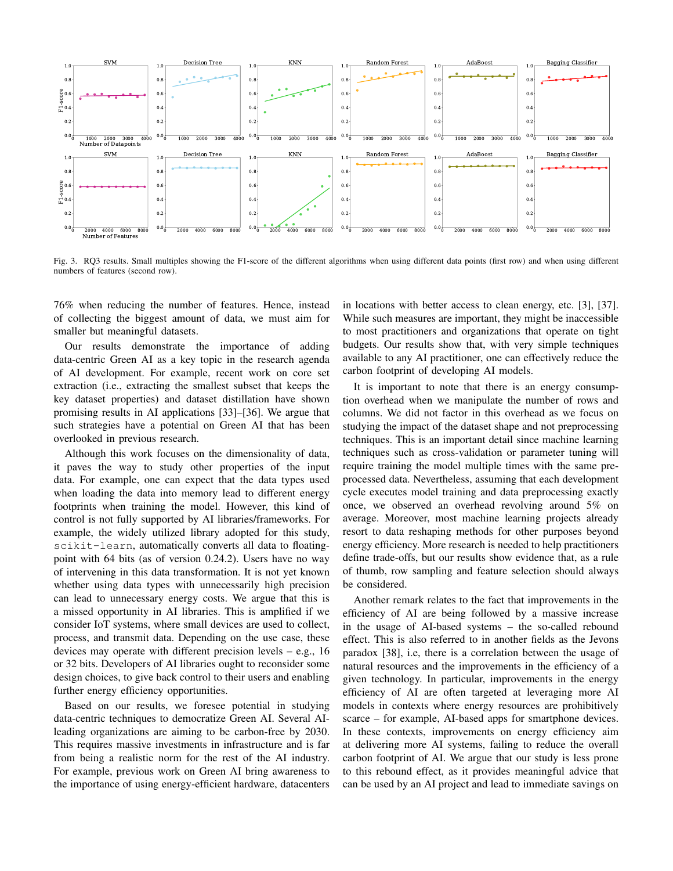

<span id="page-7-0"></span>Fig. 3. RQ3 results. Small multiples showing the F1-score of the different algorithms when using different data points (first row) and when using different numbers of features (second row).

76% when reducing the number of features. Hence, instead of collecting the biggest amount of data, we must aim for smaller but meaningful datasets.

Our results demonstrate the importance of adding data-centric Green AI as a key topic in the research agenda of AI development. For example, recent work on core set extraction (i.e., extracting the smallest subset that keeps the key dataset properties) and dataset distillation have shown promising results in AI applications [\[33\]](#page-10-28)–[\[36\]](#page-10-29). We argue that such strategies have a potential on Green AI that has been overlooked in previous research.

Although this work focuses on the dimensionality of data, it paves the way to study other properties of the input data. For example, one can expect that the data types used when loading the data into memory lead to different energy footprints when training the model. However, this kind of control is not fully supported by AI libraries/frameworks. For example, the widely utilized library adopted for this study, scikit-learn, automatically converts all data to floatingpoint with 64 bits (as of version 0.24.2). Users have no way of intervening in this data transformation. It is not yet known whether using data types with unnecessarily high precision can lead to unnecessary energy costs. We argue that this is a missed opportunity in AI libraries. This is amplified if we consider IoT systems, where small devices are used to collect, process, and transmit data. Depending on the use case, these devices may operate with different precision levels – e.g., 16 or 32 bits. Developers of AI libraries ought to reconsider some design choices, to give back control to their users and enabling further energy efficiency opportunities.

Based on our results, we foresee potential in studying data-centric techniques to democratize Green AI. Several AIleading organizations are aiming to be carbon-free by 2030. This requires massive investments in infrastructure and is far from being a realistic norm for the rest of the AI industry. For example, previous work on Green AI bring awareness to the importance of using energy-efficient hardware, datacenters in locations with better access to clean energy, etc. [\[3\]](#page-10-2), [\[37\]](#page-10-30). While such measures are important, they might be inaccessible to most practitioners and organizations that operate on tight budgets. Our results show that, with very simple techniques available to any AI practitioner, one can effectively reduce the carbon footprint of developing AI models.

It is important to note that there is an energy consumption overhead when we manipulate the number of rows and columns. We did not factor in this overhead as we focus on studying the impact of the dataset shape and not preprocessing techniques. This is an important detail since machine learning techniques such as cross-validation or parameter tuning will require training the model multiple times with the same preprocessed data. Nevertheless, assuming that each development cycle executes model training and data preprocessing exactly once, we observed an overhead revolving around 5% on average. Moreover, most machine learning projects already resort to data reshaping methods for other purposes beyond energy efficiency. More research is needed to help practitioners define trade-offs, but our results show evidence that, as a rule of thumb, row sampling and feature selection should always be considered.

Another remark relates to the fact that improvements in the efficiency of AI are being followed by a massive increase in the usage of AI-based systems – the so-called rebound effect. This is also referred to in another fields as the Jevons paradox [\[38\]](#page-10-31), i.e, there is a correlation between the usage of natural resources and the improvements in the efficiency of a given technology. In particular, improvements in the energy efficiency of AI are often targeted at leveraging more AI models in contexts where energy resources are prohibitively scarce – for example, AI-based apps for smartphone devices. In these contexts, improvements on energy efficiency aim at delivering more AI systems, failing to reduce the overall carbon footprint of AI. We argue that our study is less prone to this rebound effect, as it provides meaningful advice that can be used by an AI project and lead to immediate savings on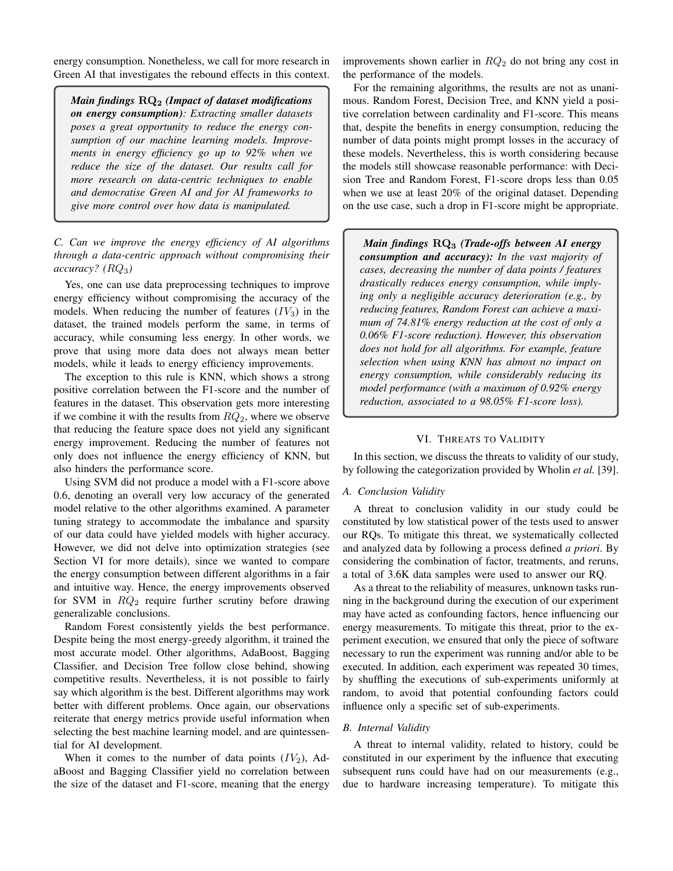energy consumption. Nonetheless, we call for more research in Green AI that investigates the rebound effects in this context.

*Main findings* RQ<sup>2</sup> *(Impact of dataset modifications on energy consumption): Extracting smaller datasets poses a great opportunity to reduce the energy consumption of our machine learning models. Improvements in energy efficiency go up to 92% when we reduce the size of the dataset. Our results call for more research on data-centric techniques to enable and democratise Green AI and for AI frameworks to give more control over how data is manipulated.*

*C. Can we improve the energy efficiency of AI algorithms through a data-centric approach without compromising their accuracy? (*RQ3*)*

Yes, one can use data preprocessing techniques to improve energy efficiency without compromising the accuracy of the models. When reducing the number of features  $(IV_3)$  in the dataset, the trained models perform the same, in terms of accuracy, while consuming less energy. In other words, we prove that using more data does not always mean better models, while it leads to energy efficiency improvements.

The exception to this rule is KNN, which shows a strong positive correlation between the F1-score and the number of features in the dataset. This observation gets more interesting if we combine it with the results from  $RQ_2$ , where we observe that reducing the feature space does not yield any significant energy improvement. Reducing the number of features not only does not influence the energy efficiency of KNN, but also hinders the performance score.

Using SVM did not produce a model with a F1-score above 0.6, denoting an overall very low accuracy of the generated model relative to the other algorithms examined. A parameter tuning strategy to accommodate the imbalance and sparsity of our data could have yielded models with higher accuracy. However, we did not delve into optimization strategies (see Section [VI](#page-8-0) for more details), since we wanted to compare the energy consumption between different algorithms in a fair and intuitive way. Hence, the energy improvements observed for SVM in  $RQ_2$  require further scrutiny before drawing generalizable conclusions.

Random Forest consistently yields the best performance. Despite being the most energy-greedy algorithm, it trained the most accurate model. Other algorithms, AdaBoost, Bagging Classifier, and Decision Tree follow close behind, showing competitive results. Nevertheless, it is not possible to fairly say which algorithm is the best. Different algorithms may work better with different problems. Once again, our observations reiterate that energy metrics provide useful information when selecting the best machine learning model, and are quintessential for AI development.

When it comes to the number of data points  $(IV_2)$ , AdaBoost and Bagging Classifier yield no correlation between the size of the dataset and F1-score, meaning that the energy

improvements shown earlier in  $RQ_2$  do not bring any cost in the performance of the models.

For the remaining algorithms, the results are not as unanimous. Random Forest, Decision Tree, and KNN yield a positive correlation between cardinality and F1-score. This means that, despite the benefits in energy consumption, reducing the number of data points might prompt losses in the accuracy of these models. Nevertheless, this is worth considering because the models still showcase reasonable performance: with Decision Tree and Random Forest, F1-score drops less than 0.05 when we use at least 20% of the original dataset. Depending on the use case, such a drop in F1-score might be appropriate.

*Main findings* RQ<sup>3</sup> *(Trade-offs between AI energy consumption and accuracy): In the vast majority of cases, decreasing the number of data points / features drastically reduces energy consumption, while implying only a negligible accuracy deterioration (e.g., by reducing features, Random Forest can achieve a maximum of 74.81% energy reduction at the cost of only a 0.06% F1-score reduction). However, this observation does not hold for all algorithms. For example, feature selection when using KNN has almost no impact on energy consumption, while considerably reducing its model performance (with a maximum of 0.92% energy reduction, associated to a 98.05% F1-score loss).*

#### VI. THREATS TO VALIDITY

<span id="page-8-0"></span>In this section, we discuss the threats to validity of our study, by following the categorization provided by Wholin *et al.* [\[39\]](#page-10-32).

#### *A. Conclusion Validity*

A threat to conclusion validity in our study could be constituted by low statistical power of the tests used to answer our RQs. To mitigate this threat, we systematically collected and analyzed data by following a process defined *a priori*. By considering the combination of factor, treatments, and reruns, a total of 3.6K data samples were used to answer our RQ.

As a threat to the reliability of measures, unknown tasks running in the background during the execution of our experiment may have acted as confounding factors, hence influencing our energy measurements. To mitigate this threat, prior to the experiment execution, we ensured that only the piece of software necessary to run the experiment was running and/or able to be executed. In addition, each experiment was repeated 30 times, by shuffling the executions of sub-experiments uniformly at random, to avoid that potential confounding factors could influence only a specific set of sub-experiments.

#### *B. Internal Validity*

A threat to internal validity, related to history, could be constituted in our experiment by the influence that executing subsequent runs could have had on our measurements (e.g., due to hardware increasing temperature). To mitigate this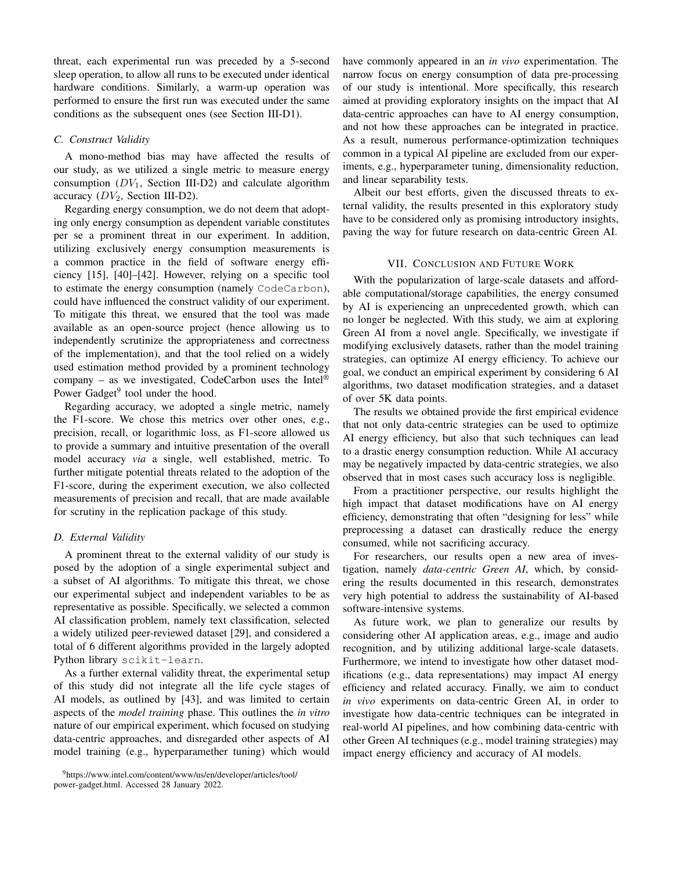threat, each experimental run was preceded by a 5-second sleep operation, to allow all runs to be executed under identical hardware conditions. Similarly, a warm-up operation was performed to ensure the first run was executed under the same conditions as the subsequent ones (see Section [III-D1\)](#page-2-1).

## *C. Construct Validity*

A mono-method bias may have affected the results of our study, as we utilized a single metric to measure energy consumption  $(DV_1,$  Section [III-D2\)](#page-3-1) and calculate algorithm accuracy  $(DV_2,$  Section [III-D2\)](#page-3-1).

Regarding energy consumption, we do not deem that adopting only energy consumption as dependent variable constitutes per se a prominent threat in our experiment. In addition, utilizing exclusively energy consumption measurements is a common practice in the field of software energy efficiency [\[15\]](#page-10-33), [\[40\]](#page-10-34)–[\[42\]](#page-10-35). However, relying on a specific tool to estimate the energy consumption (namely CodeCarbon), could have influenced the construct validity of our experiment. To mitigate this threat, we ensured that the tool was made available as an open-source project (hence allowing us to independently scrutinize the appropriateness and correctness of the implementation), and that the tool relied on a widely used estimation method provided by a prominent technology company – as we investigated, CodeCarbon uses the Intel<sup>®</sup> Power Gadget<sup>[9](#page-9-1)</sup> tool under the hood.

Regarding accuracy, we adopted a single metric, namely the F1-score. We chose this metrics over other ones, e.g., precision, recall, or logarithmic loss, as F1-score allowed us to provide a summary and intuitive presentation of the overall model accuracy *via* a single, well established, metric. To further mitigate potential threats related to the adoption of the F1-score, during the experiment execution, we also collected measurements of precision and recall, that are made available for scrutiny in the replication package of this study.

#### *D. External Validity*

A prominent threat to the external validity of our study is posed by the adoption of a single experimental subject and a subset of AI algorithms. To mitigate this threat, we chose our experimental subject and independent variables to be as representative as possible. Specifically, we selected a common AI classification problem, namely text classification, selected a widely utilized peer-reviewed dataset [\[29\]](#page-10-24), and considered a total of 6 different algorithms provided in the largely adopted Python library scikit-learn.

As a further external validity threat, the experimental setup of this study did not integrate all the life cycle stages of AI models, as outlined by [\[43\]](#page-10-36), and was limited to certain aspects of the *model training* phase. This outlines the *in vitro* nature of our empirical experiment, which focused on studying data-centric approaches, and disregarded other aspects of AI model training (e.g., hyperparamether tuning) which would have commonly appeared in an *in vivo* experimentation. The narrow focus on energy consumption of data pre-processing of our study is intentional. More specifically, this research aimed at providing exploratory insights on the impact that AI data-centric approaches can have to AI energy consumption, and not how these approaches can be integrated in practice. As a result, numerous performance-optimization techniques common in a typical AI pipeline are excluded from our experiments, e.g., hyperparameter tuning, dimensionality reduction, and linear separability tests.

Albeit our best efforts, given the discussed threats to external validity, the results presented in this exploratory study have to be considered only as promising introductory insights, paving the way for future research on data-centric Green AI.

#### VII. CONCLUSION AND FUTURE WORK

<span id="page-9-0"></span>With the popularization of large-scale datasets and affordable computational/storage capabilities, the energy consumed by AI is experiencing an unprecedented growth, which can no longer be neglected. With this study, we aim at exploring Green AI from a novel angle. Specifically, we investigate if modifying exclusively datasets, rather than the model training strategies, can optimize AI energy efficiency. To achieve our goal, we conduct an empirical experiment by considering 6 AI algorithms, two dataset modification strategies, and a dataset of over 5K data points.

The results we obtained provide the first empirical evidence that not only data-centric strategies can be used to optimize AI energy efficiency, but also that such techniques can lead to a drastic energy consumption reduction. While AI accuracy may be negatively impacted by data-centric strategies, we also observed that in most cases such accuracy loss is negligible.

From a practitioner perspective, our results highlight the high impact that dataset modifications have on AI energy efficiency, demonstrating that often "designing for less" while preprocessing a dataset can drastically reduce the energy consumed, while not sacrificing accuracy.

For researchers, our results open a new area of investigation, namely *data-centric Green AI*, which, by considering the results documented in this research, demonstrates very high potential to address the sustainability of AI-based software-intensive systems.

As future work, we plan to generalize our results by considering other AI application areas, e.g., image and audio recognition, and by utilizing additional large-scale datasets. Furthermore, we intend to investigate how other dataset modifications (e.g., data representations) may impact AI energy efficiency and related accuracy. Finally, we aim to conduct *in vivo* experiments on data-centric Green AI, in order to investigate how data-centric techniques can be integrated in real-world AI pipelines, and how combining data-centric with other Green AI techniques (e.g., model training strategies) may impact energy efficiency and accuracy of AI models.

<span id="page-9-1"></span><sup>9</sup>[https://www.intel.com/content/www/us/en/developer/articles/tool/](https://www.intel.com/content/www/us/en/developer/articles/tool/power-gadget.html) [power-gadget.html.](https://www.intel.com/content/www/us/en/developer/articles/tool/power-gadget.html) Accessed 28 January 2022.